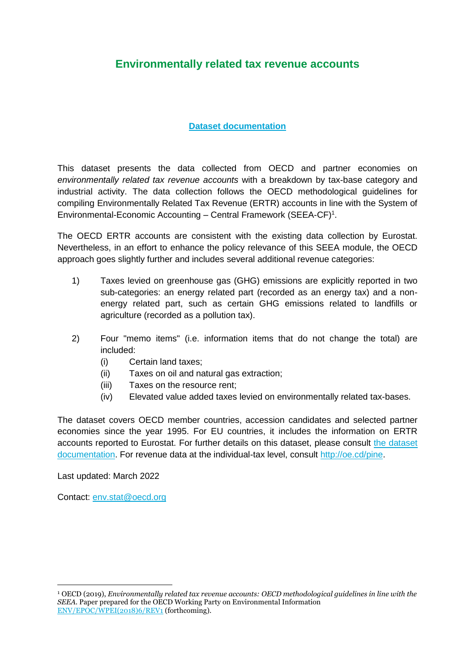# **Environmentally related tax revenue accounts**

### **[Dataset documentation](http://stats.oecd.org/wbos/fileview2.aspx?IDFile=4e7768f8-a938-45ae-ad14-f92f7f794754)**

This dataset presents the data collected from OECD and partner economies on *environmentally related tax revenue accounts* with a breakdown by tax-base category and industrial activity. The data collection follows the OECD methodological guidelines for compiling Environmentally Related Tax Revenue (ERTR) accounts in line with the System of Environmental-Economic Accounting – Central Framework (SEEA-CF) 1 .

The OECD ERTR accounts are consistent with the existing data collection by Eurostat. Nevertheless, in an effort to enhance the policy relevance of this SEEA module, the OECD approach goes slightly further and includes several additional revenue categories:

- 1) Taxes levied on greenhouse gas (GHG) emissions are explicitly reported in two sub-categories: an energy related part (recorded as an energy tax) and a nonenergy related part, such as certain GHG emissions related to landfills or agriculture (recorded as a pollution tax).
- 2) Four "memo items" (i.e. information items that do not change the total) are included:
	- (i) Certain land taxes;
	- (ii) Taxes on oil and natural gas extraction;
	- (iii) Taxes on the resource rent;
	- (iv) Elevated value added taxes levied on environmentally related tax-bases.

The dataset covers OECD member countries, accession candidates and selected partner economies since the year 1995. For EU countries, it includes the information on ERTR accounts reported to Eurostat. For further details on this dataset, please consult [the dataset](http://stats.oecd.org/wbos/fileview2.aspx?IDFile=4e7768f8-a938-45ae-ad14-f92f7f794754)  [documentation.](http://stats.oecd.org/wbos/fileview2.aspx?IDFile=4e7768f8-a938-45ae-ad14-f92f7f794754) For revenue data at the individual-tax level, consult [http://oe.cd/pine.](http://oe.cd/pine)

Last updated: March 2022

Contact: [env.stat@oecd.org](mailto:env.stat@oecd.org)

**.** 

<sup>1</sup> OECD (2019), *Environmentally related tax revenue accounts: OECD methodological guidelines in line with the SEEA*. Paper prepared for the OECD Working Party on Environmental Information [ENV/EPOC/WPEI\(2018\)6/REV1](https://one.oecd.org/document/ENV/EPOC/WPEI(2018)6/REV1/en/pdf) (forthcoming).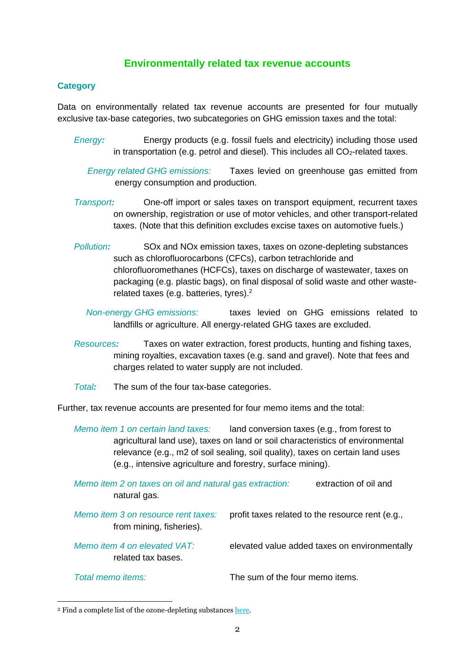# **Environmentally related tax revenue accounts**

#### **Category**

Data on environmentally related tax revenue accounts are presented for four mutually exclusive tax-base categories, two subcategories on GHG emission taxes and the total:

- *Energy:* Energy products (e.g. fossil fuels and electricity) including those used in transportation (e.g. petrol and diesel). This includes all  $CO<sub>2</sub>$ -related taxes.
	- *Energy related GHG emissions:* Taxes levied on greenhouse gas emitted from energy consumption and production.
- *Transport:* One-off import or sales taxes on transport equipment, recurrent taxes on ownership, registration or use of motor vehicles, and other transport-related taxes. (Note that this definition excludes excise taxes on automotive fuels.)
- *Pollution:* SOx and NOx emission taxes, taxes on ozone-depleting substances such as chlorofluorocarbons (CFCs), carbon tetrachloride and chlorofluoromethanes (HCFCs), taxes on discharge of wastewater, taxes on packaging (e.g. plastic bags), on final disposal of solid waste and other wasterelated taxes (e.g. batteries, tyres).<sup>2</sup>
	- *Non-energy GHG emissions:* taxes levied on GHG emissions related to landfills or agriculture. All energy-related GHG taxes are excluded.
- *Resources:* Taxes on water extraction, forest products, hunting and fishing taxes, mining royalties, excavation taxes (e.g. sand and gravel). Note that fees and charges related to water supply are not included.
- *Total:* The sum of the four tax-base categories.

Further, tax revenue accounts are presented for four memo items and the total:

*Memo item 1 on certain land taxes:* land conversion taxes (e.g., from forest to agricultural land use), taxes on land or soil characteristics of environmental relevance (e.g., m2 of soil sealing, soil quality), taxes on certain land uses (e.g., intensive agriculture and forestry, surface mining).

*Memo item 2 on taxes on oil and natural gas extraction:* extraction of oil and natural gas.

*Memo item 3 on resource rent taxes:* profit taxes related to the resource rent (e.g., from mining, fisheries).

*Memo item 4 on elevated VAT:* elevated value added taxes on environmentally related tax bases.

 $\overline{a}$ 

*Total memo items:* The sum of the four memo items.

<sup>2</sup> Find a complete list of the ozone-depleting substances [here.](http://www3.epa.gov/ozone/science/ods/index.html)